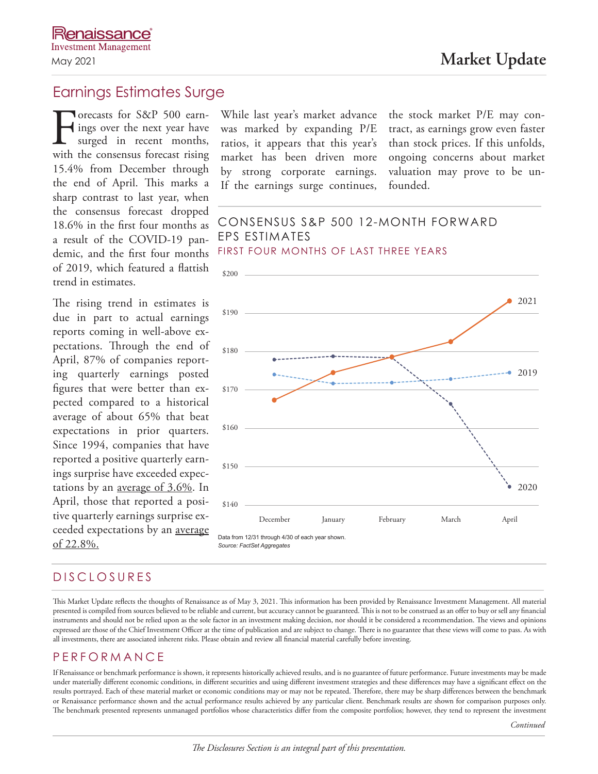# Earnings Estimates Surge

Forecasts for S&P 500 earn-<br>ings over the next year have<br>surged in recent months,<br>with the consensus forecast rising ings over the next year have surged in recent months, 15.4% from December through the end of April. This marks a sharp contrast to last year, when the consensus forecast dropped 18.6% in the first four months as a result of the COVID-19 pandemic, and the first four months of 2019, which featured a flattish trend in estimates.

The rising trend in estimates is due in part to actual earnings reports coming in well-above expectations. Through the end of April, 87% of companies reporting quarterly earnings posted figures that were better than expected compared to a historical average of about 65% that beat expectations in prior quarters. Since 1994, companies that have reported a positive quarterly earnings surprise have exceeded expectations by an average of 3.6%. In April, those that reported a positive quarterly earnings surprise exceeded expectations by an average of 22.8%.

While last year's market advance was marked by expanding P/E ratios, it appears that this year's market has been driven more by strong corporate earnings. If the earnings surge continues, the stock market P/E may contract, as earnings grow even faster than stock prices. If this unfolds, ongoing concerns about market valuation may prove to be unfounded.

## CONSENSUS S&P 500 12-MONTH FORWARD EPS ESTIMATES FIRST FOUR MONTHS OF LAST THREE YEARS



# DISCLOSURES

This Market Update reflects the thoughts of Renaissance as of May 3, 2021. This information has been provided by Renaissance Investment Management. All material presented is compiled from sources believed to be reliable and current, but accuracy cannot be guaranteed. This is not to be construed as an offer to buy or sell any financial instruments and should not be relied upon as the sole factor in an investment making decision, nor should it be considered a recommendation. The views and opinions expressed are those of the Chief Investment Officer at the time of publication and are subject to change. There is no guarantee that these views will come to pass. As with all investments, there are associated inherent risks. Please obtain and review all financial material carefully before investing.

# PERFORMANCE

If Renaissance or benchmark performance is shown, it represents historically achieved results, and is no guarantee of future performance. Future investments may be made under materially different economic conditions, in different securities and using different investment strategies and these differences may have a significant effect on the results portrayed. Each of these material market or economic conditions may or may not be repeated. Therefore, there may be sharp differences between the benchmark or Renaissance performance shown and the actual performance results achieved by any particular client. Benchmark results are shown for comparison purposes only. The benchmark presented represents unmanaged portfolios whose characteristics differ from the composite portfolios; however, they tend to represent the investment